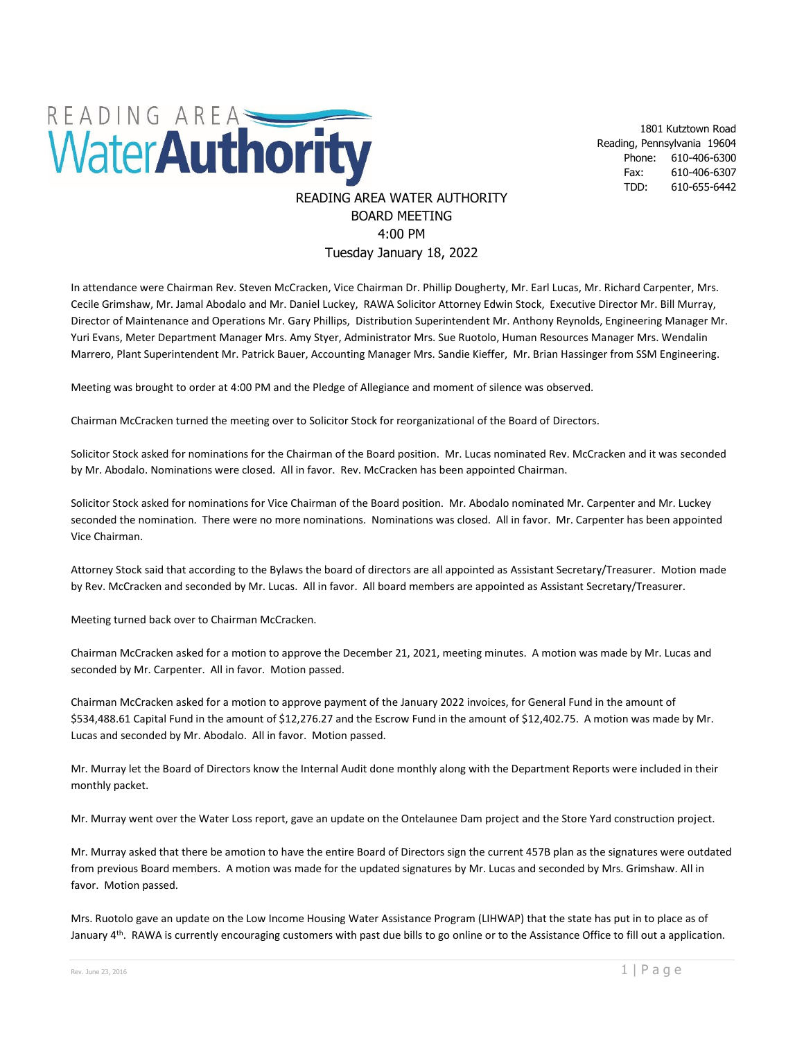

1801 Kutztown Road Reading, Pennsylvania 19604 Phone: 610-406-6300 Fax: 610-406-6307 TDD: 610-655-6442

## READING AREA WATER AUTHORITY BOARD MEETING 4:00 PM Tuesday January 18, 2022

In attendance were Chairman Rev. Steven McCracken, Vice Chairman Dr. Phillip Dougherty, Mr. Earl Lucas, Mr. Richard Carpenter, Mrs. Cecile Grimshaw, Mr. Jamal Abodalo and Mr. Daniel Luckey, RAWA Solicitor Attorney Edwin Stock, Executive Director Mr. Bill Murray, Director of Maintenance and Operations Mr. Gary Phillips, Distribution Superintendent Mr. Anthony Reynolds, Engineering Manager Mr. Yuri Evans, Meter Department Manager Mrs. Amy Styer, Administrator Mrs. Sue Ruotolo, Human Resources Manager Mrs. Wendalin Marrero, Plant Superintendent Mr. Patrick Bauer, Accounting Manager Mrs. Sandie Kieffer, Mr. Brian Hassinger from SSM Engineering.

Meeting was brought to order at 4:00 PM and the Pledge of Allegiance and moment of silence was observed.

Chairman McCracken turned the meeting over to Solicitor Stock for reorganizational of the Board of Directors.

Solicitor Stock asked for nominations for the Chairman of the Board position. Mr. Lucas nominated Rev. McCracken and it was seconded by Mr. Abodalo. Nominations were closed. All in favor. Rev. McCracken has been appointed Chairman.

Solicitor Stock asked for nominations for Vice Chairman of the Board position. Mr. Abodalo nominated Mr. Carpenter and Mr. Luckey seconded the nomination. There were no more nominations. Nominations was closed. All in favor. Mr. Carpenter has been appointed Vice Chairman.

Attorney Stock said that according to the Bylaws the board of directors are all appointed as Assistant Secretary/Treasurer. Motion made by Rev. McCracken and seconded by Mr. Lucas. All in favor. All board members are appointed as Assistant Secretary/Treasurer.

Meeting turned back over to Chairman McCracken.

Chairman McCracken asked for a motion to approve the December 21, 2021, meeting minutes. A motion was made by Mr. Lucas and seconded by Mr. Carpenter. All in favor. Motion passed.

Chairman McCracken asked for a motion to approve payment of the January 2022 invoices, for General Fund in the amount of \$534,488.61 Capital Fund in the amount of \$12,276.27 and the Escrow Fund in the amount of \$12,402.75. A motion was made by Mr. Lucas and seconded by Mr. Abodalo. All in favor. Motion passed.

Mr. Murray let the Board of Directors know the Internal Audit done monthly along with the Department Reports were included in their monthly packet.

Mr. Murray went over the Water Loss report, gave an update on the Ontelaunee Dam project and the Store Yard construction project.

Mr. Murray asked that there be amotion to have the entire Board of Directors sign the current 457B plan as the signatures were outdated from previous Board members. A motion was made for the updated signatures by Mr. Lucas and seconded by Mrs. Grimshaw. All in favor. Motion passed.

Mrs. Ruotolo gave an update on the Low Income Housing Water Assistance Program (LIHWAP) that the state has put in to place as of January 4<sup>th</sup>. RAWA is currently encouraging customers with past due bills to go online or to the Assistance Office to fill out a application.